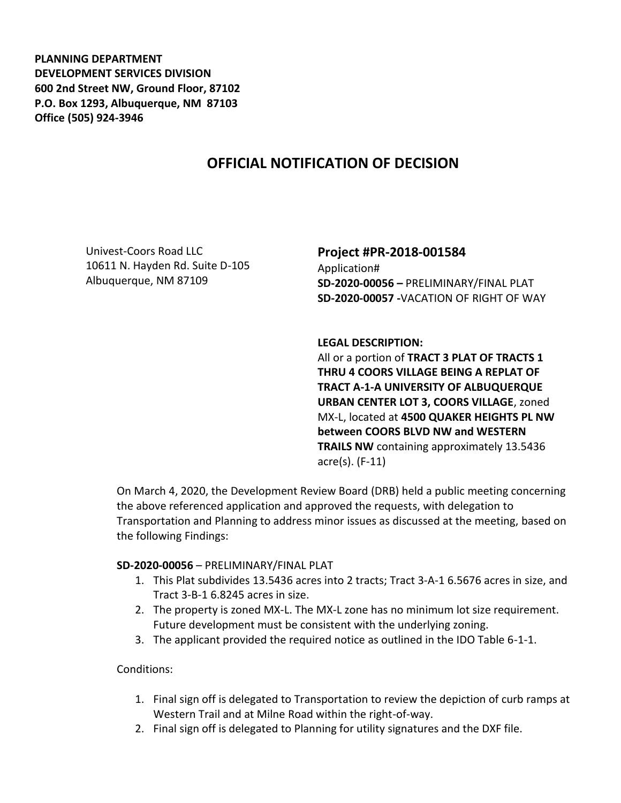**PLANNING DEPARTMENT DEVELOPMENT SERVICES DIVISION 600 2nd Street NW, Ground Floor, 87102 P.O. Box 1293, Albuquerque, NM 87103 Office (505) 924-3946** 

# **OFFICIAL NOTIFICATION OF DECISION**

Univest-Coors Road LLC 10611 N. Hayden Rd. Suite D-105 Albuquerque, NM 87109

## **Project #PR-2018-001584**

Application# **SD-2020-00056 –** PRELIMINARY/FINAL PLAT **SD-2020-00057 -**VACATION OF RIGHT OF WAY

#### **LEGAL DESCRIPTION:**

All or a portion of **TRACT 3 PLAT OF TRACTS 1 THRU 4 COORS VILLAGE BEING A REPLAT OF TRACT A-1-A UNIVERSITY OF ALBUQUERQUE URBAN CENTER LOT 3, COORS VILLAGE**, zoned MX-L, located at **4500 QUAKER HEIGHTS PL NW between COORS BLVD NW and WESTERN TRAILS NW** containing approximately 13.5436 acre(s). (F-11)

On March 4, 2020, the Development Review Board (DRB) held a public meeting concerning the above referenced application and approved the requests, with delegation to Transportation and Planning to address minor issues as discussed at the meeting, based on the following Findings:

#### **SD-2020-00056** – PRELIMINARY/FINAL PLAT

- 1. This Plat subdivides 13.5436 acres into 2 tracts; Tract 3-A-1 6.5676 acres in size, and Tract 3-B-1 6.8245 acres in size.
- 2. The property is zoned MX-L. The MX-L zone has no minimum lot size requirement. Future development must be consistent with the underlying zoning.
- 3. The applicant provided the required notice as outlined in the IDO Table 6-1-1.

Conditions:

- 1. Final sign off is delegated to Transportation to review the depiction of curb ramps at Western Trail and at Milne Road within the right-of-way.
- 2. Final sign off is delegated to Planning for utility signatures and the DXF file.